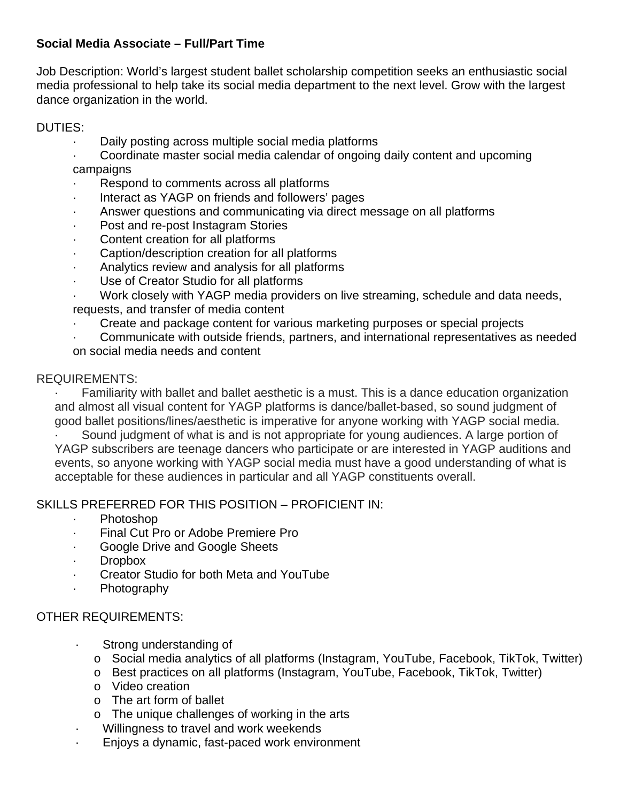## **Social Media Associate – Full/Part Time**

Job Description: World's largest student ballet scholarship competition seeks an enthusiastic social media professional to help take its social media department to the next level. Grow with the largest dance organization in the world.

#### DUTIES:

- Daily posting across multiple social media platforms
- · Coordinate master social media calendar of ongoing daily content and upcoming campaigns
- Respond to comments across all platforms
- Interact as YAGP on friends and followers' pages
- Answer questions and communicating via direct message on all platforms
- Post and re-post Instagram Stories
- Content creation for all platforms
- Caption/description creation for all platforms
- Analytics review and analysis for all platforms
- Use of Creator Studio for all platforms
- · Work closely with YAGP media providers on live streaming, schedule and data needs, requests, and transfer of media content
- · Create and package content for various marketing purposes or special projects
- · Communicate with outside friends, partners, and international representatives as needed on social media needs and content

## REQUIREMENTS:

· Familiarity with ballet and ballet aesthetic is a must. This is a dance education organization and almost all visual content for YAGP platforms is dance/ballet-based, so sound judgment of good ballet positions/lines/aesthetic is imperative for anyone working with YAGP social media.

Sound judgment of what is and is not appropriate for young audiences. A large portion of YAGP subscribers are teenage dancers who participate or are interested in YAGP auditions and events, so anyone working with YAGP social media must have a good understanding of what is acceptable for these audiences in particular and all YAGP constituents overall.

# SKILLS PREFERRED FOR THIS POSITION – PROFICIENT IN:

- · Photoshop
- Final Cut Pro or Adobe Premiere Pro
- Google Drive and Google Sheets
- · Dropbox
- · Creator Studio for both Meta and YouTube
- · Photography

# OTHER REQUIREMENTS:

- · Strong understanding of
	- o Social media analytics of all platforms (Instagram, YouTube, Facebook, TikTok, Twitter)
	- o Best practices on all platforms (Instagram, YouTube, Facebook, TikTok, Twitter)
	- o Video creation
	- o The art form of ballet
	- o The unique challenges of working in the arts
- · Willingness to travel and work weekends
- · Enjoys a dynamic, fast-paced work environment